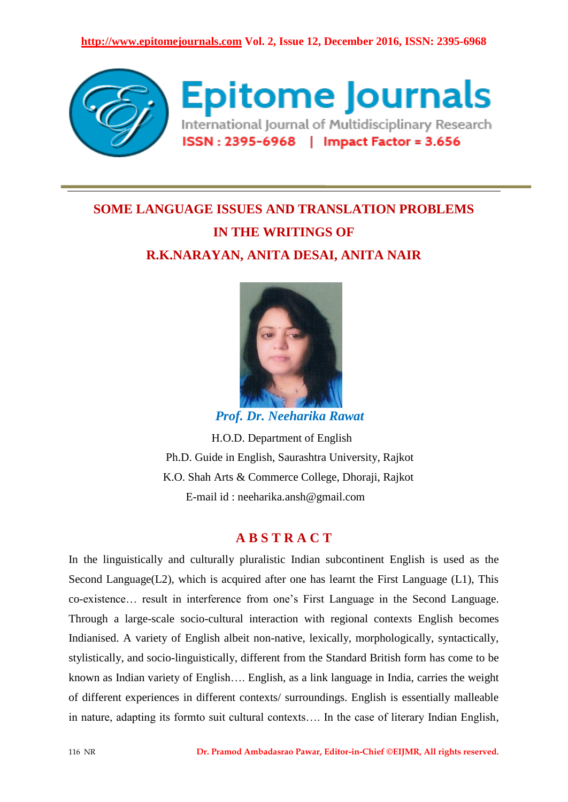

## **SOME LANGUAGE ISSUES AND TRANSLATION PROBLEMS IN THE WRITINGS OF R.K.NARAYAN, ANITA DESAI, ANITA NAIR**



 *Prof. Dr. Neeharika Rawat*

 H.O.D. Department of English Ph.D. Guide in English, Saurashtra University, Rajkot K.O. Shah Arts & Commerce College, Dhoraji, Rajkot E-mail id : neeharika.ansh@gmail.com

## **A B S T R A C T**

In the linguistically and culturally pluralistic Indian subcontinent English is used as the Second Language( $L2$ ), which is acquired after one has learnt the First Language ( $L1$ ), This co-existence… result in interference from one's First Language in the Second Language. Through a large-scale socio-cultural interaction with regional contexts English becomes Indianised. A variety of English albeit non-native, lexically, morphologically, syntactically, stylistically, and socio-linguistically, different from the Standard British form has come to be known as Indian variety of English…. English, as a link language in India, carries the weight of different experiences in different contexts/ surroundings. English is essentially malleable in nature, adapting its formto suit cultural contexts…. In the case of literary Indian English,